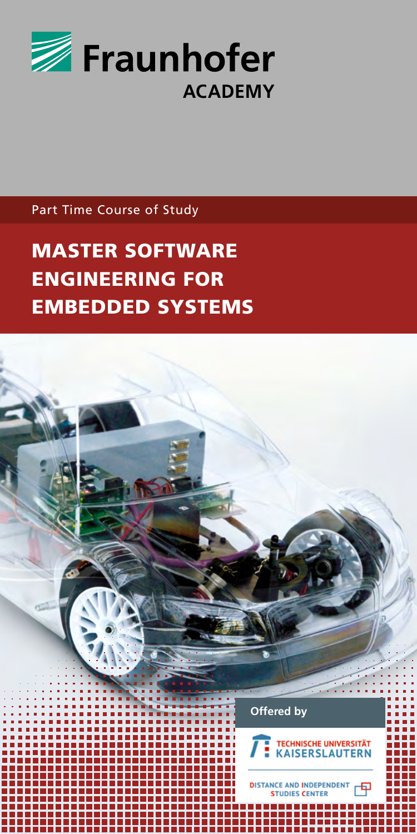

Part Time Course of Study

MASTER SOFTWARE ENGINEERING FOR EMBEDDED SYSTEMS

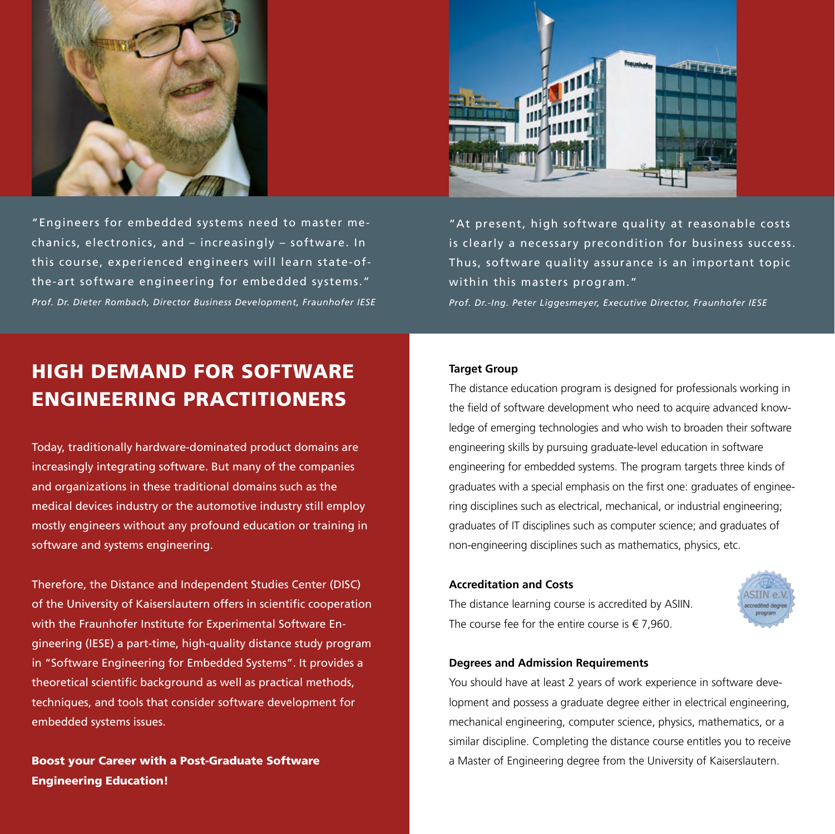

"Engineers for embedded systems need to master mechanics, electronics, and – increasingly – software. In this course, experienced engineers will learn state-ofthe-art software engineering for embedded systems." *Prof. Dr. Dieter Rombach, Director Business Development, Fraunhofer IESE*



"At present, high software quality at reasonable costs is clearly a necessary precondition for business success. Thus, software quality assurance is an important topic within this masters program."

*Prof. Dr.-Ing. Peter Liggesmeyer, Executive Director, Fraunhofer IESE*

# HIGH DEMAND FOR SOFTWARE ENGINEERING PRACTITIONERS

Today, traditionally hardware-dominated product domains are increasingly integrating software. But many of the companies and organizations in these traditional domains such as the medical devices industry or the automotive industry still employ mostly engineers without any profound education or training in software and systems engineering.

Therefore, the Distance and Independent Studies Center (DISC) of the University of Kaiserslautern offers in scientific cooperation with the Fraunhofer Institute for Experimental Software Engineering (IESE) a part-time, high-quality distance study program in "Software Engineering for Embedded Systems". It provides a theoretical scientific background as well as practical methods, techniques, and tools that consider software development for embedded systems issues.

Boost your Career with a Post-Graduate Software Engineering Education!

#### **Target Group**

The distance education program is designed for professionals working in the field of software development who need to acquire advanced knowledge of emerging technologies and who wish to broaden their software engineering skills by pursuing graduate-level education in software engineering for embedded systems. The program targets three kinds of graduates with a special emphasis on the first one: graduates of engineering disciplines such as electrical, mechanical, or industrial engineering; graduates of IT disciplines such as computer science; and graduates of non-engineering disciplines such as mathematics, physics, etc.

### **Accreditation and Costs**

The distance learning course is accredited by ASIIN. The course fee for the entire course is  $\in$  7.960.



### **Degrees and Admission Requirements**

You should have at least 2 years of work experience in software development and possess a graduate degree either in electrical engineering, mechanical engineering, computer science, physics, mathematics, or a similar discipline. Completing the distance course entitles you to receive a Master of Engineering degree from the University of Kaiserslautern.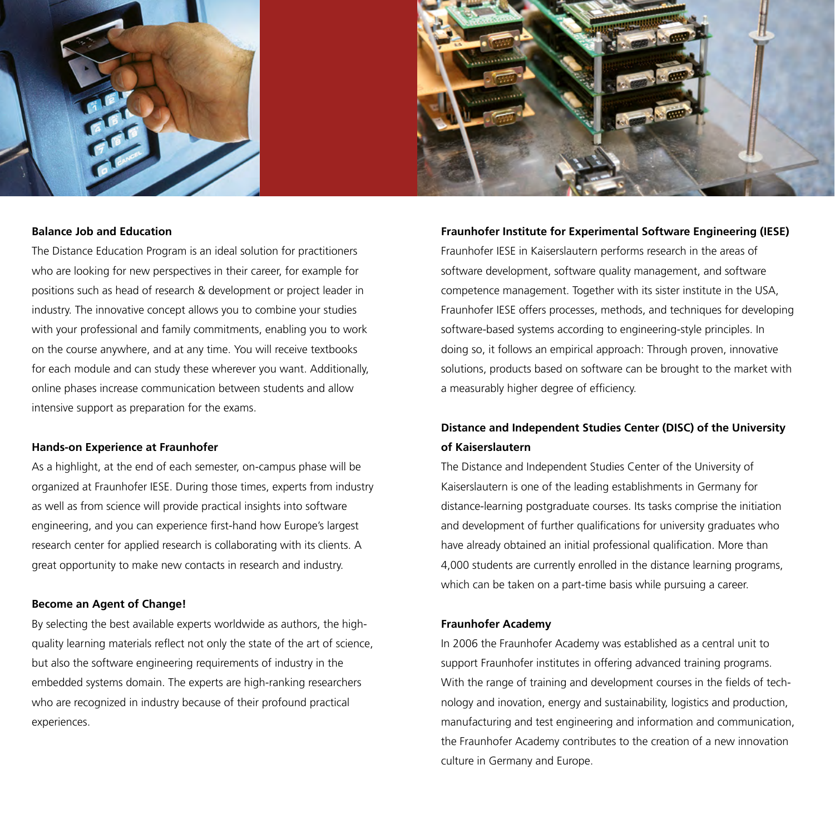



# **Balance Job and Education**

The Distance Education Program is an ideal solution for practitioners who are looking for new perspectives in their career, for example for positions such as head of research & development or project leader in industry. The innovative concept allows you to combine your studies with your professional and family commitments, enabling you to work on the course anywhere, and at any time. You will receive textbooks for each module and can study these wherever you want. Additionally, online phases increase communication between students and allow intensive support as preparation for the exams.

#### **Hands-on Experience at Fraunhofer**

As a highlight, at the end of each semester, on-campus phase will be organized at Fraunhofer IESE. During those times, experts from industry as well as from science will provide practical insights into software engineering, and you can experience first-hand how Europe's largest research center for applied research is collaborating with its clients. A great opportunity to make new contacts in research and industry.

#### **Become an Agent of Change!**

By selecting the best available experts worldwide as authors, the highquality learning materials reflect not only the state of the art of science, but also the software engineering requirements of industry in the embedded systems domain. The experts are high-ranking researchers who are recognized in industry because of their profound practical experiences.

#### **Fraunhofer Institute for Experimental Software Engineering (IESE)**

Fraunhofer IESE in Kaiserslautern performs research in the areas of software development, software quality management, and software competence management. Together with its sister institute in the USA, Fraunhofer IESE offers processes, methods, and techniques for developing software-based systems according to engineering-style principles. In doing so, it follows an empirical approach: Through proven, innovative solutions, products based on software can be brought to the market with a measurably higher degree of efficiency.

# **Distance and Independent Studies Center (DISC) of the University of Kaiserslautern**

The Distance and Independent Studies Center of the University of Kaiserslautern is one of the leading establishments in Germany for distance-learning postgraduate courses. Its tasks comprise the initiation and development of further qualifications for university graduates who have already obtained an initial professional qualification. More than 4,000 students are currently enrolled in the distance learning programs, which can be taken on a part-time basis while pursuing a career.

# **Fraunhofer Academy**

In 2006 the Fraunhofer Academy was established as a central unit to support Fraunhofer institutes in offering advanced training programs. With the range of training and development courses in the fields of technology and inovation, energy and sustainability, logistics and production, manufacturing and test engineering and information and communication, the Fraunhofer Academy contributes to the creation of a new innovation culture in Germany and Europe.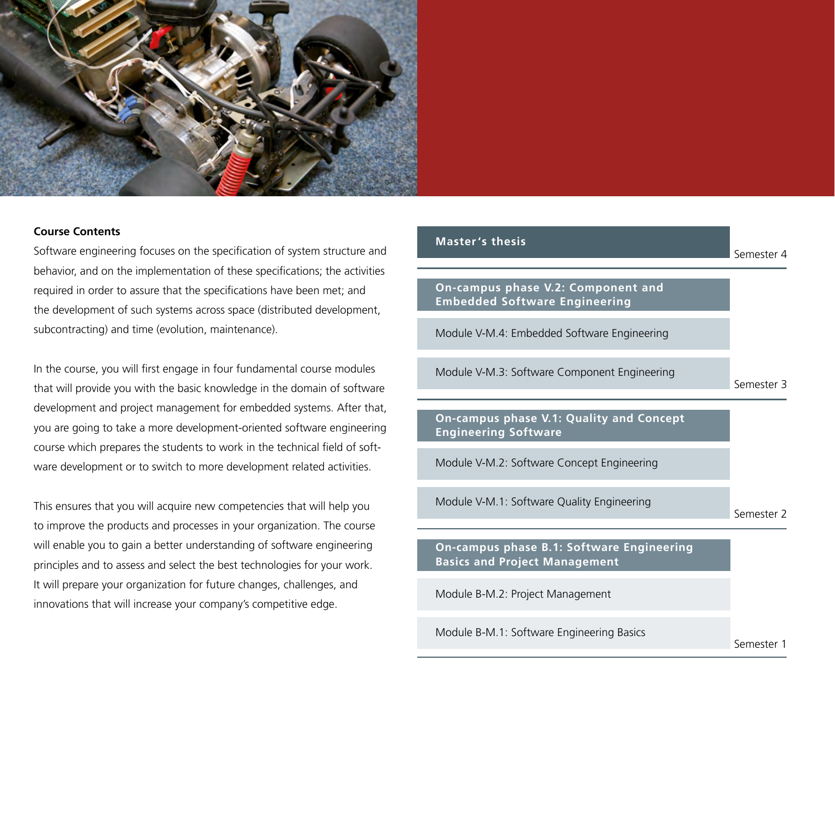

### **Course Contents**

Software engineering focuses on the specification of system structure and behavior, and on the implementation of these specifications; the activities required in order to assure that the specifications have been met; and the development of such systems across space (distributed development, subcontracting) and time (evolution, maintenance).

In the course, you will first engage in four fundamental course modules that will provide you with the basic knowledge in the domain of software development and project management for embedded systems. After that, you are going to take a more development-oriented software engineering course which prepares the students to work in the technical field of software development or to switch to more development related activities.

This ensures that you will acquire new competencies that will help you to improve the products and processes in your organization. The course will enable you to gain a better understanding of software engineering principles and to assess and select the best technologies for your work. It will prepare your organization for future changes, challenges, and innovations that will increase your company's competitive edge.